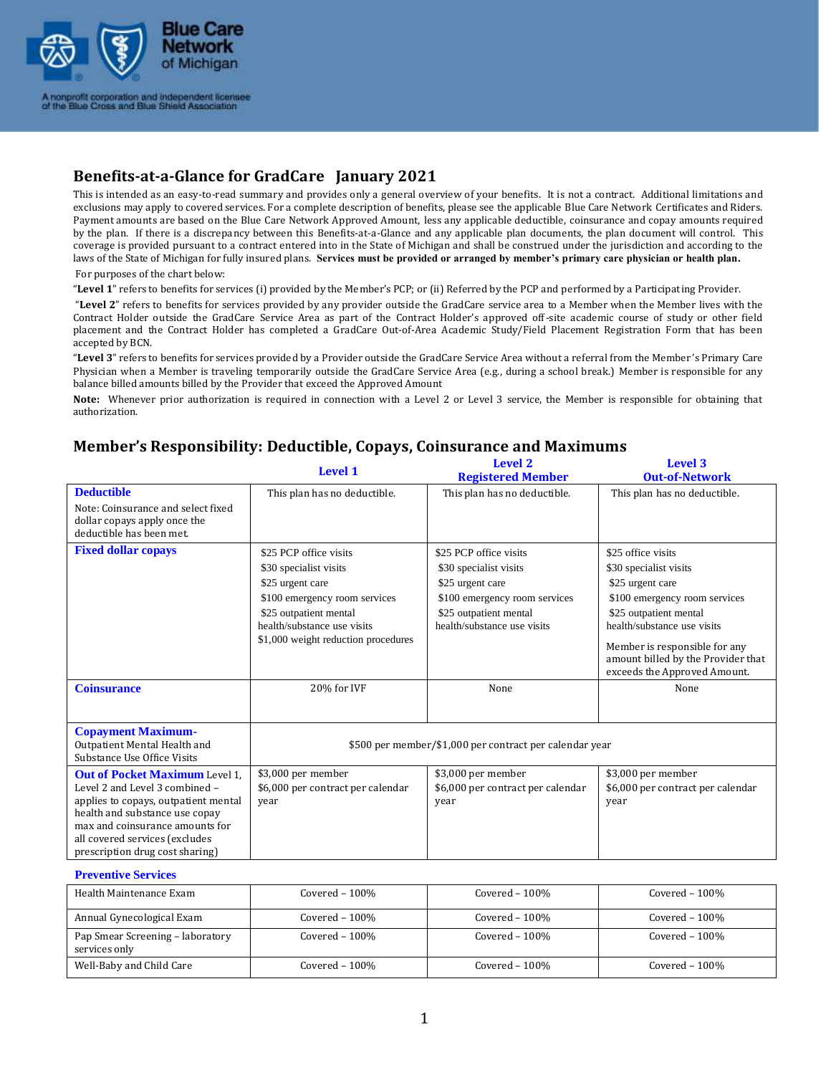

# **Benefits-at-a-Glance for GradCare January 2021**

This is intended as an easy-to-read summary and provides only a general overview of your benefits. It is not a contract. Additional limitations and exclusions may apply to covered services. For a complete description of benefits, please see the applicable Blue Care Network Certificates and Riders. Payment amounts are based on the Blue Care Network Approved Amount, less any applicable deductible, coinsurance and copay amounts required by the plan. If there is a discrepancy between this Benefits-at-a-Glance and any applicable plan documents, the plan document will control. This coverage is provided pursuant to a contract entered into in the State of Michigan and shall be construed under the jurisdiction and according to the laws of the State of Michigan for fully insured plans. **Services must be provided or arranged by member's primary care physician or health plan.**

For purposes of the chart below:

"**Level 1**" refers to benefits for services (i) provided by the Member's PCP; or (ii) Referred by the PCP and performed by a Participating Provider.

"**Level 2**" refers to benefits for services provided by any provider outside the GradCare service area to a Member when the Member lives with the Contract Holder outside the GradCare Service Area as part of the Contract Holder's approved off-site academic course of study or other field placement and the Contract Holder has completed a GradCare Out-of-Area Academic Study/Field Placement Registration Form that has been accepted by BCN.

"**Level 3**" refers to benefits for services provided by a Provider outside the GradCare Service Area without a referral from the Member 's Primary Care Physician when a Member is traveling temporarily outside the GradCare Service Area (e.g., during a school break.) Member is responsible for any balance billed amounts billed by the Provider that exceed the Approved Amount

**Note:** Whenever prior authorization is required in connection with a Level 2 or Level 3 service, the Member is responsible for obtaining that authorization.

|                                                                                                                                                                                                                                                           | <b>Level 1</b>                                                                                                                                                                                        | <b>Level 2</b><br><b>Registered Member</b>                                                                                                                     | Level 3<br><b>Out-of-Network</b>                                                                                                                                                                                                                                  |
|-----------------------------------------------------------------------------------------------------------------------------------------------------------------------------------------------------------------------------------------------------------|-------------------------------------------------------------------------------------------------------------------------------------------------------------------------------------------------------|----------------------------------------------------------------------------------------------------------------------------------------------------------------|-------------------------------------------------------------------------------------------------------------------------------------------------------------------------------------------------------------------------------------------------------------------|
| <b>Deductible</b><br>Note: Coinsurance and select fixed<br>dollar copays apply once the<br>deductible has been met.                                                                                                                                       | This plan has no deductible.                                                                                                                                                                          | This plan has no deductible.                                                                                                                                   | This plan has no deductible.                                                                                                                                                                                                                                      |
| <b>Fixed dollar copays</b>                                                                                                                                                                                                                                | \$25 PCP office visits<br>\$30 specialist visits<br>\$25 urgent care<br>\$100 emergency room services<br>\$25 outpatient mental<br>health/substance use visits<br>\$1,000 weight reduction procedures | \$25 PCP office visits<br>\$30 specialist visits<br>\$25 urgent care<br>\$100 emergency room services<br>\$25 outpatient mental<br>health/substance use visits | \$25 office visits<br>\$30 specialist visits<br>\$25 urgent care<br>\$100 emergency room services<br>\$25 outpatient mental<br>health/substance use visits<br>Member is responsible for any<br>amount billed by the Provider that<br>exceeds the Approved Amount. |
| <b>Coinsurance</b>                                                                                                                                                                                                                                        | 20% for IVF                                                                                                                                                                                           | None                                                                                                                                                           | None                                                                                                                                                                                                                                                              |
| <b>Copayment Maximum-</b><br>Outpatient Mental Health and<br>Substance Use Office Visits                                                                                                                                                                  |                                                                                                                                                                                                       | \$500 per member/\$1,000 per contract per calendar year                                                                                                        |                                                                                                                                                                                                                                                                   |
| <b>Out of Pocket Maximum Level 1.</b><br>Level 2 and Level 3 combined -<br>applies to copays, outpatient mental<br>health and substance use copay<br>max and coinsurance amounts for<br>all covered services (excludes<br>prescription drug cost sharing) | \$3,000 per member<br>\$6,000 per contract per calendar<br>year                                                                                                                                       | \$3,000 per member<br>\$6,000 per contract per calendar<br>year                                                                                                | \$3,000 per member<br>\$6,000 per contract per calendar<br>year                                                                                                                                                                                                   |
| <b>Preventive Services</b>                                                                                                                                                                                                                                |                                                                                                                                                                                                       |                                                                                                                                                                |                                                                                                                                                                                                                                                                   |

## **Member's Responsibility: Deductible, Copays, Coinsurance and Maximums**

| Health Maintenance Exam                           | Covered – $100\%$ | Covered $-100\%$ | Covered $-100\%$ |
|---------------------------------------------------|-------------------|------------------|------------------|
| Annual Gynecological Exam                         | Covered $-100\%$  | Covered $-100\%$ | Covered $-100\%$ |
| Pap Smear Screening - laboratory<br>services only | Covered $-100\%$  | Covered $-100\%$ | Covered $-100\%$ |
| Well-Baby and Child Care                          | Covered $-100\%$  | Covered $-100\%$ | Covered $-100\%$ |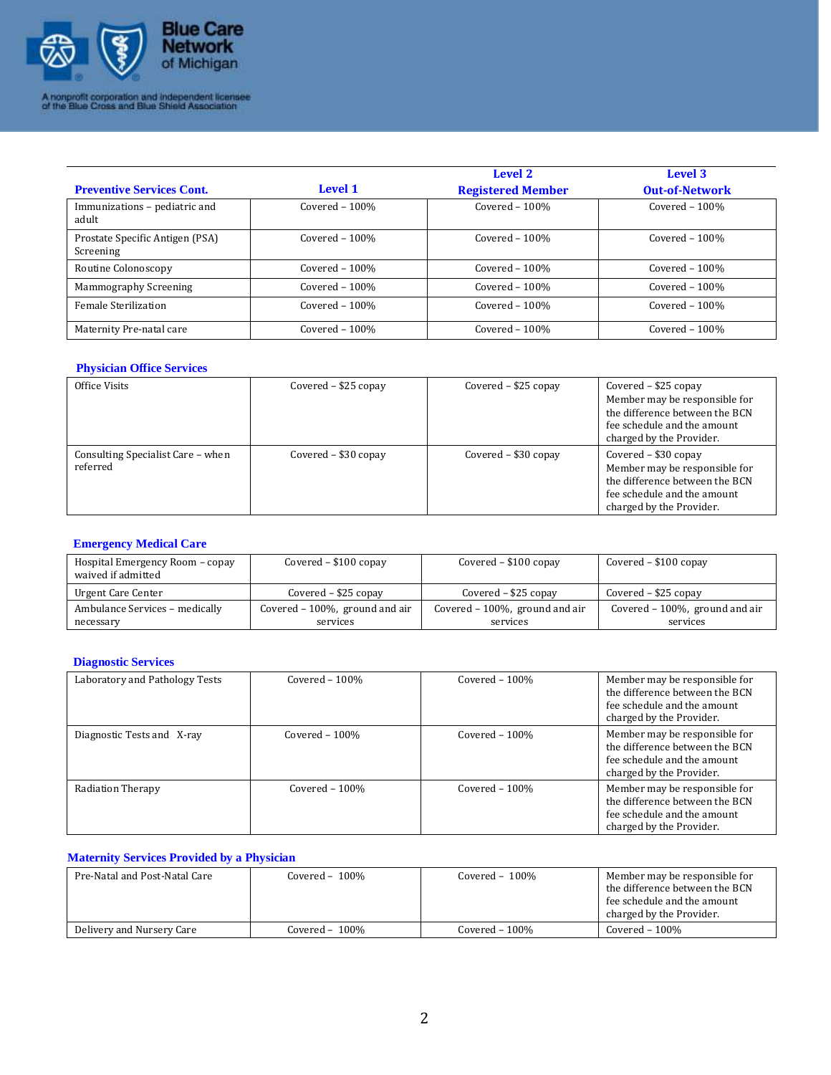

| <b>Preventive Services Cont.</b>             | Level 1          | Level 2<br><b>Registered Member</b> | Level 3<br><b>Out-of-Network</b> |
|----------------------------------------------|------------------|-------------------------------------|----------------------------------|
| Immunizations - pediatric and<br>adult       | Covered $-100\%$ | Covered $-100%$                     | Covered $-100\%$                 |
| Prostate Specific Antigen (PSA)<br>Screening | Covered $-100\%$ | Covered $-100%$                     | Covered $-100\%$                 |
| Routine Colonoscopy                          | Covered $-100\%$ | Covered $-100\%$                    | Covered $-100\%$                 |
| Mammography Screening                        | Covered $-100\%$ | Covered $-100%$                     | Covered $-100\%$                 |
| <b>Female Sterilization</b>                  | Covered $-100\%$ | Covered $-100%$                     | Covered $-100\%$                 |
| Maternity Pre-natal care                     | Covered $-100\%$ | Covered $-100\%$                    | Covered $-100\%$                 |

## **Physician Office Services**

| Office Visits                                 | Covered $-$ \$25 copay | Covered $-$ \$25 copay | Covered $-$ \$25 copay<br>Member may be responsible for<br>the difference between the BCN<br>fee schedule and the amount<br>charged by the Provider. |
|-----------------------------------------------|------------------------|------------------------|------------------------------------------------------------------------------------------------------------------------------------------------------|
| Consulting Specialist Care - when<br>referred | Covered - \$30 copay   | Covered $-$ \$30 copay | Covered – \$30 copay<br>Member may be responsible for<br>the difference between the BCN<br>fee schedule and the amount<br>charged by the Provider.   |

## **Emergency Medical Care**

| Hospital Emergency Room – copay<br>waived if admitted | Covered $-$ \$100 copay        | Covered $-$ \$100 copay        | Covered $-$ \$100 copay        |
|-------------------------------------------------------|--------------------------------|--------------------------------|--------------------------------|
| Urgent Care Center                                    | Covered $-$ \$25 copay         | Covered $-$ \$25 copay         | Covered $-$ \$25 copay         |
| Ambulance Services - medically                        | Covered - 100%, ground and air | Covered - 100%, ground and air | Covered - 100%, ground and air |
| necessary                                             | services                       | services                       | services                       |

## **Diagnostic Services**

| Laboratory and Pathology Tests | Covered $-100\%$ | Covered $-100\%$ | Member may be responsible for<br>the difference between the BCN<br>fee schedule and the amount<br>charged by the Provider. |
|--------------------------------|------------------|------------------|----------------------------------------------------------------------------------------------------------------------------|
| Diagnostic Tests and X-ray     | Covered $-100\%$ | Covered $-100\%$ | Member may be responsible for<br>the difference between the BCN<br>fee schedule and the amount<br>charged by the Provider. |
| <b>Radiation Therapy</b>       | Covered $-100\%$ | Covered $-100\%$ | Member may be responsible for<br>the difference between the BCN<br>fee schedule and the amount<br>charged by the Provider. |

#### **Maternity Services Provided by a Physician**

| Pre-Natal and Post-Natal Care | Covered $-100\%$ | Covered $-100\%$ | Member may be responsible for<br>the difference between the BCN<br>fee schedule and the amount<br>charged by the Provider. |
|-------------------------------|------------------|------------------|----------------------------------------------------------------------------------------------------------------------------|
| Delivery and Nursery Care     | Covered - 100%   | Covered $-100\%$ | Covered – 100%                                                                                                             |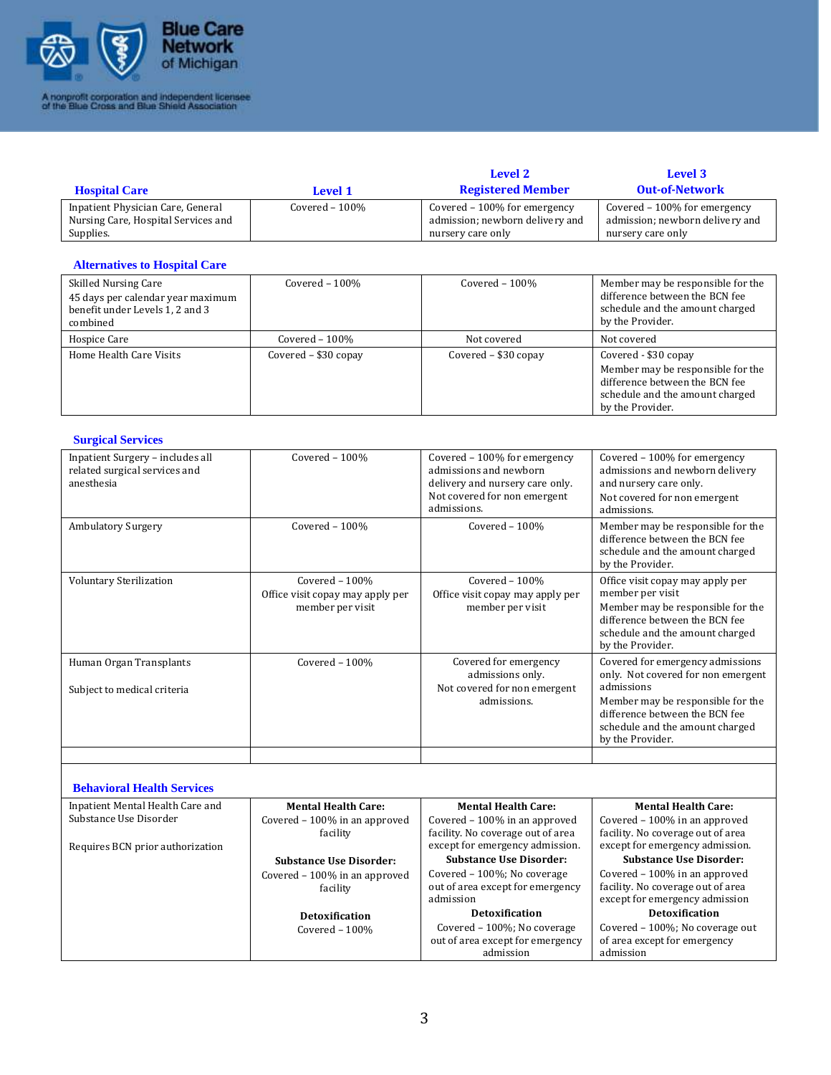

| <b>Hospital Care</b>                | Level 1          | Level 2<br><b>Registered Member</b> | Level 3<br><b>Out-of-Network</b> |
|-------------------------------------|------------------|-------------------------------------|----------------------------------|
| Inpatient Physician Care, General   | Covered $-100\%$ | Covered $-100\%$ for emergency      | Covered $-100\%$ for emergency   |
| Nursing Care, Hospital Services and |                  | admission; newborn delivery and     | admission; newborn delivery and  |
| Supplies.                           |                  | nursery care only                   | nursery care only                |

## **Alternatives to Hospital Care**

| <b>Skilled Nursing Care</b><br>45 days per calendar year maximum<br>benefit under Levels 1, 2 and 3<br>combined | Covered $-100\%$     | Covered $-100\%$       | Member may be responsible for the<br>difference between the BCN fee<br>schedule and the amount charged<br>by the Provider.                         |
|-----------------------------------------------------------------------------------------------------------------|----------------------|------------------------|----------------------------------------------------------------------------------------------------------------------------------------------------|
| Hospice Care                                                                                                    | Covered $-100\%$     | Not covered            | Not covered                                                                                                                                        |
| Home Health Care Visits                                                                                         | Covered - \$30 copay | Covered $-$ \$30 copay | Covered - \$30 copay<br>Member may be responsible for the<br>difference between the BCN fee<br>schedule and the amount charged<br>by the Provider. |

#### **Surgical Services**

| Inpatient Surgery - includes all<br>related surgical services and<br>anesthesia                 | Covered $-100%$                                                        | Covered - 100% for emergency<br>admissions and newborn<br>delivery and nursery care only.<br>Not covered for non emergent<br>admissions. | Covered - 100% for emergency<br>admissions and newborn delivery<br>and nursery care only.<br>Not covered for non emergent<br>admissions.                                                                           |
|-------------------------------------------------------------------------------------------------|------------------------------------------------------------------------|------------------------------------------------------------------------------------------------------------------------------------------|--------------------------------------------------------------------------------------------------------------------------------------------------------------------------------------------------------------------|
| <b>Ambulatory Surgery</b>                                                                       | Covered - 100%                                                         | Covered - 100%                                                                                                                           | Member may be responsible for the<br>difference between the BCN fee<br>schedule and the amount charged<br>by the Provider.                                                                                         |
| Voluntary Sterilization                                                                         | Covered - 100%<br>Office visit copay may apply per<br>member per visit | Covered - 100%<br>Office visit copay may apply per<br>member per visit                                                                   | Office visit copay may apply per<br>member per visit<br>Member may be responsible for the<br>difference between the BCN fee<br>schedule and the amount charged<br>by the Provider.                                 |
| Human Organ Transplants<br>Subject to medical criteria                                          | Covered $-100%$                                                        | Covered for emergency<br>admissions only.<br>Not covered for non emergent<br>admissions.                                                 | Covered for emergency admissions<br>only. Not covered for non emergent<br>admissions<br>Member may be responsible for the<br>difference between the BCN fee<br>schedule and the amount charged<br>by the Provider. |
| <b>Behavioral Health Services</b><br>Inpatient Mental Health Care and<br>Substance Use Disorder | <b>Mental Health Care:</b><br>Covered - 100% in an approved            | <b>Mental Health Care:</b><br>Covered - 100% in an approved                                                                              | <b>Mental Health Care:</b><br>Covered - 100% in an approved                                                                                                                                                        |

| Inpatient Mental Health Care and | Mental Health Care:            | Mental Health Care:               | Mental Health Care:               |
|----------------------------------|--------------------------------|-----------------------------------|-----------------------------------|
| Substance Use Disorder           | Covered – 100% in an approved  | Covered $-100\%$ in an approved   | Covered - 100% in an approved     |
|                                  | facility                       | facility. No coverage out of area | facility. No coverage out of area |
| Requires BCN prior authorization |                                | except for emergency admission.   | except for emergency admission.   |
|                                  | <b>Substance Use Disorder:</b> | <b>Substance Use Disorder:</b>    | <b>Substance Use Disorder:</b>    |
|                                  | Covered - 100% in an approved  | Covered $-100\%$ ; No coverage    | Covered - 100% in an approved     |
|                                  | facility                       | out of area except for emergency  | facility. No coverage out of area |
|                                  |                                | admission                         | except for emergency admission    |
|                                  | Detoxification                 | <b>Detoxification</b>             | <b>Detoxification</b>             |
|                                  | Covered $-100\%$               | Covered – 100%; No coverage       | Covered – 100%; No coverage out   |
|                                  |                                | out of area except for emergency  | of area except for emergency      |
|                                  |                                | admission                         | admission                         |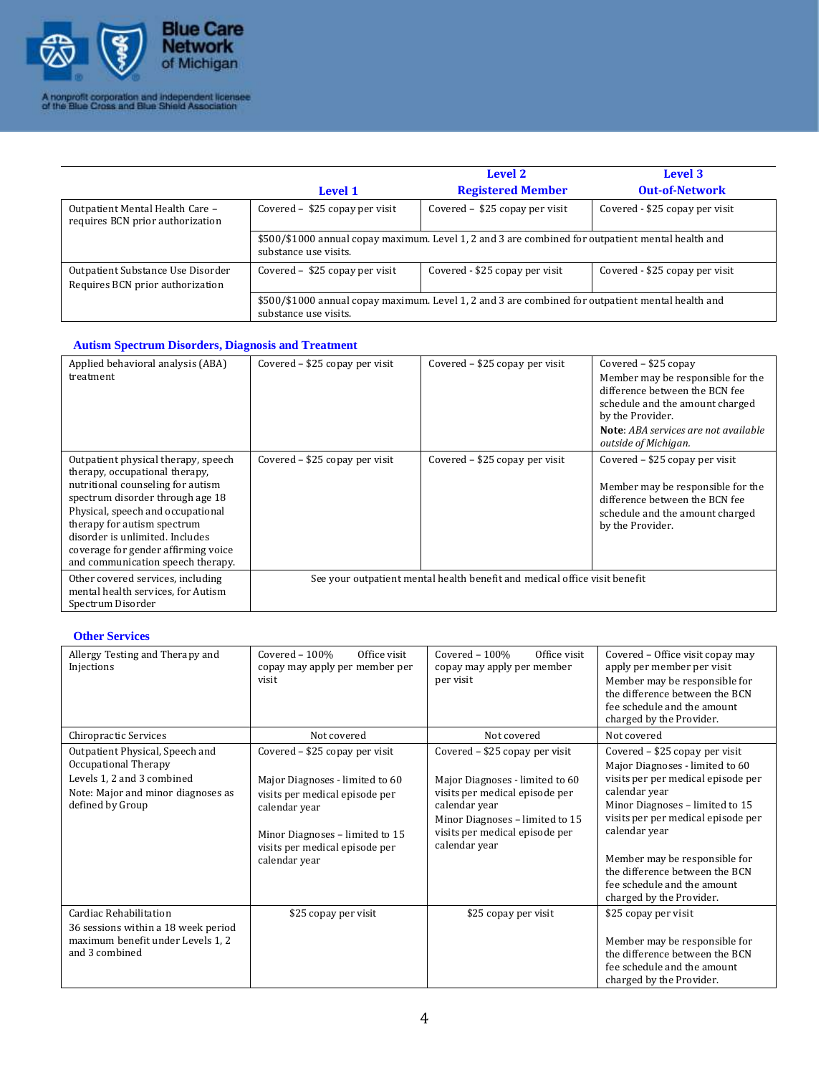

|                                                                       | <b>Level 1</b>                                                                                                             | <b>Level 2</b><br><b>Registered Member</b>                                                        | Level 3<br><b>Out-of-Network</b> |
|-----------------------------------------------------------------------|----------------------------------------------------------------------------------------------------------------------------|---------------------------------------------------------------------------------------------------|----------------------------------|
| Outpatient Mental Health Care -<br>requires BCN prior authorization   | Covered $-$ \$25 copay per visit                                                                                           | Covered $-$ \$25 copay per visit                                                                  | Covered - \$25 copay per visit   |
|                                                                       | \$500/\$1000 annual copay maximum. Level 1, 2 and 3 are combined for outpatient mental health and<br>substance use visits. |                                                                                                   |                                  |
| Outpatient Substance Use Disorder<br>Requires BCN prior authorization | Covered $-$ \$25 copay per visit                                                                                           | Covered - \$25 copay per visit                                                                    | Covered - \$25 copay per visit   |
|                                                                       | substance use visits.                                                                                                      | \$500/\$1000 annual copay maximum. Level 1, 2 and 3 are combined for outpatient mental health and |                                  |

## **Autism Spectrum Disorders, Diagnosis and Treatment**

| Applied behavioral analysis (ABA)<br>treatment                                                                                                                                                                                                                                                                                    | Covered $-$ \$25 copay per visit                                           | Covered – \$25 copay per visit   | Covered $-$ \$25 copay<br>Member may be responsible for the<br>difference between the BCN fee<br>schedule and the amount charged<br>by the Provider.<br>Note: ABA services are not available<br>outside of Michigan. |
|-----------------------------------------------------------------------------------------------------------------------------------------------------------------------------------------------------------------------------------------------------------------------------------------------------------------------------------|----------------------------------------------------------------------------|----------------------------------|----------------------------------------------------------------------------------------------------------------------------------------------------------------------------------------------------------------------|
| Outpatient physical therapy, speech<br>therapy, occupational therapy,<br>nutritional counseling for autism<br>spectrum disorder through age 18<br>Physical, speech and occupational<br>therapy for autism spectrum<br>disorder is unlimited. Includes<br>coverage for gender affirming voice<br>and communication speech therapy. | Covered – \$25 copay per visit                                             | Covered $-$ \$25 copay per visit | Covered $-$ \$25 copay per visit<br>Member may be responsible for the<br>difference between the BCN fee<br>schedule and the amount charged<br>by the Provider.                                                       |
| Other covered services, including<br>mental health services, for Autism<br>Spectrum Disorder                                                                                                                                                                                                                                      | See your outpatient mental health benefit and medical office visit benefit |                                  |                                                                                                                                                                                                                      |

### **Other Services**

| Allergy Testing and Therapy and<br>Injections                                                                                                   | Covered $-100\%$<br>Office visit<br>copay may apply per member per<br>visit                                                                                                                                | Covered $-100\%$<br>Office visit<br>copay may apply per member<br>per visit                                                                                                                                | Covered - Office visit copay may<br>apply per member per visit<br>Member may be responsible for<br>the difference between the BCN<br>fee schedule and the amount<br>charged by the Provider.                                                                                                                                                     |
|-------------------------------------------------------------------------------------------------------------------------------------------------|------------------------------------------------------------------------------------------------------------------------------------------------------------------------------------------------------------|------------------------------------------------------------------------------------------------------------------------------------------------------------------------------------------------------------|--------------------------------------------------------------------------------------------------------------------------------------------------------------------------------------------------------------------------------------------------------------------------------------------------------------------------------------------------|
| Chiropractic Services                                                                                                                           | Not covered                                                                                                                                                                                                | Not covered                                                                                                                                                                                                | Not covered                                                                                                                                                                                                                                                                                                                                      |
| Outpatient Physical, Speech and<br>Occupational Therapy<br>Levels 1, 2 and 3 combined<br>Note: Major and minor diagnoses as<br>defined by Group | Covered - \$25 copay per visit<br>Major Diagnoses - limited to 60<br>visits per medical episode per<br>calendar year<br>Minor Diagnoses - limited to 15<br>visits per medical episode per<br>calendar year | Covered - \$25 copay per visit<br>Major Diagnoses - limited to 60<br>visits per medical episode per<br>calendar year<br>Minor Diagnoses - limited to 15<br>visits per medical episode per<br>calendar year | Covered – \$25 copay per visit<br>Major Diagnoses - limited to 60<br>visits per per medical episode per<br>calendar year<br>Minor Diagnoses - limited to 15<br>visits per per medical episode per<br>calendar year<br>Member may be responsible for<br>the difference between the BCN<br>fee schedule and the amount<br>charged by the Provider. |
| Cardiac Rehabilitation<br>36 sessions within a 18 week period<br>maximum benefit under Levels 1, 2<br>and 3 combined                            | \$25 copay per visit                                                                                                                                                                                       | \$25 copay per visit                                                                                                                                                                                       | \$25 copay per visit<br>Member may be responsible for<br>the difference between the BCN<br>fee schedule and the amount<br>charged by the Provider.                                                                                                                                                                                               |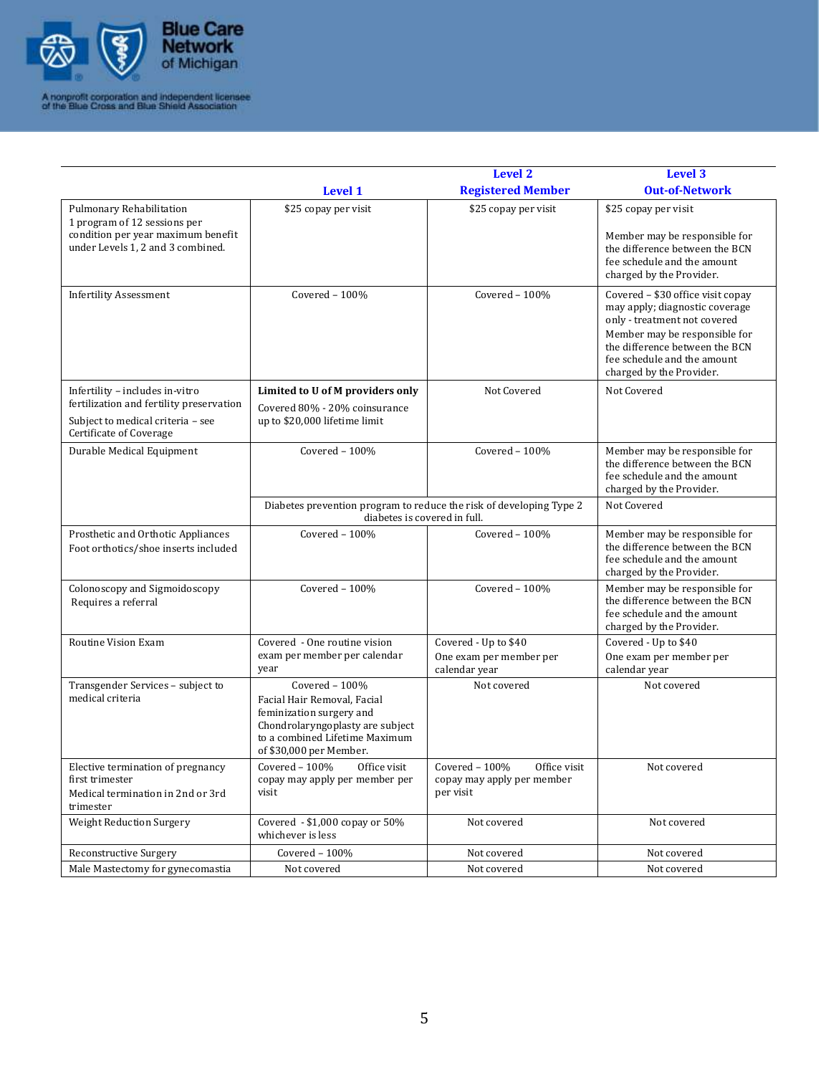

|                                                                                                                                     |                                                                                                                                                                             | <b>Level 2</b><br><b>Registered Member</b>                                 | <b>Level 3</b><br><b>Out-of-Network</b>                                                                                                                                                                                           |
|-------------------------------------------------------------------------------------------------------------------------------------|-----------------------------------------------------------------------------------------------------------------------------------------------------------------------------|----------------------------------------------------------------------------|-----------------------------------------------------------------------------------------------------------------------------------------------------------------------------------------------------------------------------------|
|                                                                                                                                     | <b>Level 1</b>                                                                                                                                                              |                                                                            |                                                                                                                                                                                                                                   |
| Pulmonary Rehabilitation<br>1 program of 12 sessions per<br>condition per year maximum benefit<br>under Levels 1, 2 and 3 combined. | \$25 copay per visit                                                                                                                                                        | \$25 copay per visit                                                       | \$25 copay per visit<br>Member may be responsible for<br>the difference between the BCN<br>fee schedule and the amount<br>charged by the Provider.                                                                                |
| <b>Infertility Assessment</b>                                                                                                       | Covered - 100%                                                                                                                                                              | Covered $-100%$                                                            | Covered - \$30 office visit copay<br>may apply; diagnostic coverage<br>only - treatment not covered<br>Member may be responsible for<br>the difference between the BCN<br>fee schedule and the amount<br>charged by the Provider. |
| Infertility - includes in-vitro<br>fertilization and fertility preservation                                                         | Limited to U of M providers only<br>Covered 80% - 20% coinsurance                                                                                                           | Not Covered                                                                | Not Covered                                                                                                                                                                                                                       |
| Subject to medical criteria - see<br>Certificate of Coverage                                                                        | up to \$20,000 lifetime limit                                                                                                                                               |                                                                            |                                                                                                                                                                                                                                   |
| Durable Medical Equipment                                                                                                           | Covered - 100%                                                                                                                                                              | Covered - 100%                                                             | Member may be responsible for<br>the difference between the BCN<br>fee schedule and the amount<br>charged by the Provider.                                                                                                        |
|                                                                                                                                     | Diabetes prevention program to reduce the risk of developing Type 2<br>diabetes is covered in full.                                                                         |                                                                            | Not Covered                                                                                                                                                                                                                       |
| Prosthetic and Orthotic Appliances<br>Foot orthotics/shoe inserts included                                                          | Covered - 100%                                                                                                                                                              | Covered - 100%                                                             | Member may be responsible for<br>the difference between the BCN<br>fee schedule and the amount<br>charged by the Provider.                                                                                                        |
| Colonoscopy and Sigmoidoscopy<br>Requires a referral                                                                                | Covered - 100%                                                                                                                                                              | Covered $-100%$                                                            | Member may be responsible for<br>the difference between the BCN<br>fee schedule and the amount<br>charged by the Provider.                                                                                                        |
| Routine Vision Exam                                                                                                                 | Covered - One routine vision<br>exam per member per calendar<br>year                                                                                                        | Covered - Up to \$40<br>One exam per member per<br>calendar year           | Covered - Up to \$40<br>One exam per member per<br>calendar year                                                                                                                                                                  |
| Transgender Services - subject to<br>medical criteria                                                                               | Covered $-100%$<br>Facial Hair Removal, Facial<br>feminization surgery and<br>Chondrolaryngoplasty are subject<br>to a combined Lifetime Maximum<br>of \$30,000 per Member. | Not covered                                                                | Not covered                                                                                                                                                                                                                       |
| Elective termination of pregnancy<br>first trimester<br>Medical termination in 2nd or 3rd<br>trimester                              | Covered $-100%$<br>Office visit<br>copay may apply per member per<br>visit                                                                                                  | Covered $-100%$<br>Office visit<br>copay may apply per member<br>per visit | Not covered                                                                                                                                                                                                                       |
| <b>Weight Reduction Surgery</b>                                                                                                     | Covered - \$1,000 copay or 50%<br>whichever is less                                                                                                                         | Not covered                                                                | Not covered                                                                                                                                                                                                                       |
| Reconstructive Surgery                                                                                                              | Covered - 100%                                                                                                                                                              | Not covered                                                                | Not covered                                                                                                                                                                                                                       |
| Male Mastectomy for gynecomastia                                                                                                    | Not covered                                                                                                                                                                 | Not covered                                                                | Not covered                                                                                                                                                                                                                       |